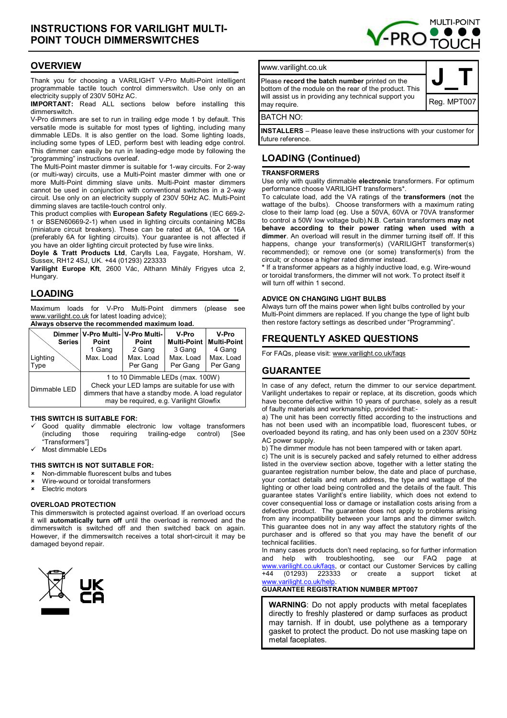# **INSTRUCTIONS FOR VARILIGHT MULTI-POINT TOUCH DIMMERSWITCHES**



# **OVERVIEW**

Thank you for choosing a VARILIGHT V-Pro Multi-Point intelligent programmable tactile touch control dimmerswitch. Use only on an electricity supply of 230V 50Hz AC.

**IMPORTANT:** Read ALL sections below before installing this dimmerswitch.

V-Pro dimmers are set to run in trailing edge mode 1 by default. This versatile mode is suitable for most types of lighting, including many dimmable LEDs. It is also gentler on the load. Some lighting loads, including some types of LED, perform best with leading edge control. This dimmer can easily be run in leading-edge mode by following the "programming" instructions overleaf.

The Multi-Point master dimmer is suitable for 1-way circuits. For 2-way (or multi-way) circuits, use a Multi-Point master dimmer with one or more Multi-Point dimming slave units. Multi-Point master dimmers cannot be used in conjunction with conventional switches in a 2-way circuit. Use only on an electricity supply of 230V 50Hz AC. Multi-Point dimming slaves are tactile-touch control only.

This product complies with **European Safety Regulations** (IEC 669-2- 1 or BSEN60669-2-1) when used in lighting circuits containing MCBs (miniature circuit breakers). These can be rated at 6A, 10A or 16A (preferably 6A for lighting circuits). Your guarantee is not affected if you have an older lighting circuit protected by fuse wire links.

**Doyle & Tratt Products Ltd**, Carylls Lea, Faygate, Horsham, W. Sussex, RH12 4SJ, UK. +44 (01293) 223333

**Varilight Europe Kft**, 2600 Vác, Althann Mihály Frigyes utca 2, Hungary.

# **LOADING**

Maximum loads for V-Pro Multi-Point dimmers (please see www.varilight.co.uk for latest loading advice);

**Always observe the recommended maximum load.** 

| <b>Series</b>    | Dimmer   V-Pro Multi-   V-Pro Multi-<br>Point                                                                                                                                        | <b>Point</b>          | V-Pro                 | V-Pro<br><b>Multi-Point   Multi-Point</b> |
|------------------|--------------------------------------------------------------------------------------------------------------------------------------------------------------------------------------|-----------------------|-----------------------|-------------------------------------------|
|                  | 1 Gang                                                                                                                                                                               | 2 Gang                | 3 Gang                | 4 Gang                                    |
| Lighting<br>Type | Max. Load                                                                                                                                                                            | Max. Load<br>Per Gang | Max. Load<br>Per Gang | Max. Load<br>Per Gang                     |
| Dimmable LED     | 1 to 10 Dimmable LEDs (max. 100W)<br>Check your LED lamps are suitable for use with<br>dimmers that have a standby mode. A load regulator<br>may be required, e.g. Varilight Glowfix |                       |                       |                                           |

#### **THIS SWITCH IS SUITABLE FOR:**

- Good quality dimmable electronic low voltage transformers (including those requiring trailing-edge control) [See "Transformers"]
- Most dimmable LEDs

### **THIS SWITCH IS NOT SUITABLE FOR:**

- Non-dimmable fluorescent bulbs and tubes
- Wire-wound or toroidal transformers
- Electric motors

#### **OVERLOAD PROTECTION**

This dimmerswitch is protected against overload. If an overload occurs it will **automatically turn off** until the overload is removed and the dimmerswitch is switched off and then switched back on again. However, if the dimmerswitch receives a total short-circuit it may be damaged beyond repair.





**INSTALLERS** – Please leave these instructions with your customer for future reference.

# **LOADING (Continued)**

#### **TRANSFORMERS**

Use only with quality dimmable **electronic** transformers. For optimum performance choose VARILIGHT transformers\*.

To calculate load, add the VA ratings of the **transformers** (**not** the wattage of the bulbs). Choose transformers with a maximum rating close to their lamp load (eg. Use a 50VA, 60VA or 70VA transformer to control a 50W low voltage bulb).N.B. Certain transformers **may not behave according to their power rating when used with a dimmer**. An overload will result in the dimmer turning itself off. If this happens, change your transformer(s) (VARILIGHT transformer(s) recommended); or remove one (or some) transformer(s) from the circuit; or choose a higher rated dimmer instead.

**\*** If a transformer appears as a highly inductive load, e.g. Wire-wound or toroidal transformers, the dimmer will not work. To protect itself it will turn off within 1 second.

#### **ADVICE ON CHANGING LIGHT BULBS**

Always turn off the mains power when light bulbs controlled by your Multi-Point dimmers are replaced. If you change the type of light bulb then restore factory settings as described under "Programming".

# **FREQUENTLY ASKED QUESTIONS**

For FAQs, please visit: www.varilight.co.uk/faqs

# **GUARANTEE**

In case of any defect, return the dimmer to our service department. Varilight undertakes to repair or replace, at its discretion, goods which have become defective within 10 years of purchase, solely as a result of faulty materials and workmanship, provided that:-

a) The unit has been correctly fitted according to the instructions and has not been used with an incompatible load, fluorescent tubes, or overloaded beyond its rating, and has only been used on a 230V 50Hz AC power supply.

b) The dimmer module has not been tampered with or taken apart.

c) The unit is is securely packed and safely returned to either address listed in the overview section above, together with a letter stating the guarantee registration number below, the date and place of purchase, your contact details and return address, the type and wattage of the lighting or other load being controlled and the details of the fault. This guarantee states Varilight's entire liability, which does not extend to cover consequential loss or damage or installation costs arising from a defective product. The guarantee does not apply to problems arising from any incompatibility between your lamps and the dimmer switch. This guarantee does not in any way affect the statutory rights of the purchaser and is offered so that you may have the benefit of our technical facilities.

In many cases products don't need replacing, so for further information and help with troubleshooting, see our FAQ page at www.varilight.co.uk/faqs, or contact our Customer Services by calling<br>+44 (01293) 223333 or create a support ticket at  $+44$  (01293) 223333 or create a www.varilight.co.uk/help

### **GUARANTEE REGISTRATION NUMBER MPT007**

**WARNING**: Do not apply products with metal faceplates directly to freshly plastered or damp surfaces as product may tarnish. If in doubt, use polythene as a temporary gasket to protect the product. Do not use masking tape on metal faceplates.